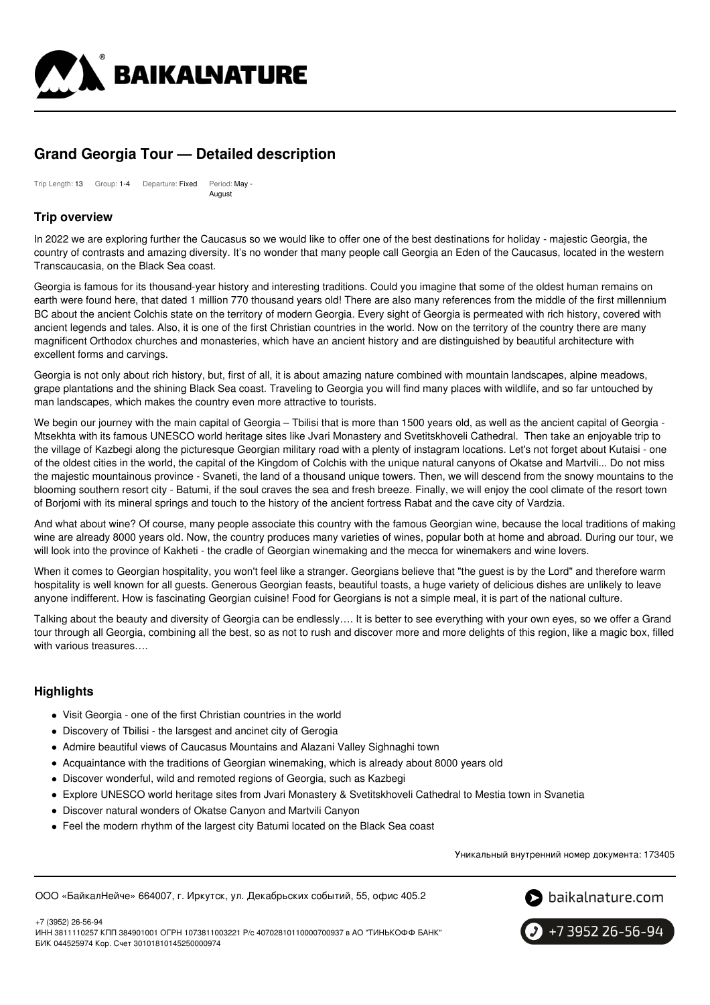

# **Grand Georgia Tour — Detailed description**

Trip Length: 13 Group: 1-4 Departure: Fixed Period: May - August

# **Trip overview**

In 2022 we are exploring further the Caucasus so we would like to offer one of the best destinations for holiday - majestic Georgia, the country of contrasts and amazing diversity. It's no wonder that many people call Georgia an Eden of the Caucasus, located in the western Transcaucasia, on the Black Sea coast.

Georgia is famous for its thousand-year history and interesting traditions. Could you imagine that some of the oldest human remains on earth were found here, that dated 1 million 770 thousand years old! There are also many references from the middle of the first millennium BC about the ancient Colchis state on the territory of modern Georgia. Every sight of Georgia is permeated with rich history, covered with ancient legends and tales. Also, it is one of the first Christian countries in the world. Now on the territory of the country there are many magnificent Orthodox churches and monasteries, which have an ancient history and are distinguished by beautiful architecture with excellent forms and carvings.

Georgia is not only about rich history, but, first of all, it is about amazing nature combined with mountain landscapes, alpine meadows, grape plantations and the shining Black Sea coast. Traveling to Georgia you will find many places with wildlife, and so far untouched by man landscapes, which makes the country even more attractive to tourists.

We begin our journey with the main capital of Georgia – Tbilisi that is more than 1500 years old, as well as the ancient capital of Georgia -Mtsekhta with its famous UNESCO world heritage sites like Jvari Monastery and Svetitskhoveli Cathedral. Then take an enjoyable trip to the village of Kazbegi along the picturesque Georgian military road with a plenty of instagram locations. Let's not forget about Kutaisi - one of the oldest cities in the world, the capital of the Kingdom of Colchis with the unique natural canyons of Okatse and Martvili... Do not miss the majestic mountainous province - Svaneti, the land of a thousand unique towers. Then, we will descend from the snowy mountains to the blooming southern resort city - Batumi, if the soul craves the sea and fresh breeze. Finally, we will enjoy the cool climate of the resort town of Borjomi with its mineral springs and touch to the history of the ancient fortress Rabat and the cave city of Vardzia.

And what about wine? Of course, many people associate this country with the famous Georgian wine, because the local traditions of making wine are already 8000 years old. Now, the country produces many varieties of wines, popular both at home and abroad. During our tour, we will look into the province of Kakheti - the cradle of Georgian winemaking and the mecca for winemakers and wine lovers.

When it comes to Georgian hospitality, you won't feel like a stranger. Georgians believe that "the guest is by the Lord" and therefore warm hospitality is well known for all guests. Generous Georgian feasts, beautiful toasts, a huge variety of delicious dishes are unlikely to leave anyone indifferent. How is fascinating Georgian cuisine! Food for Georgians is not a simple meal, it is part of the national culture.

Talking about the beauty and diversity of Georgia can be endlessly…. It is better to see everything with your own eyes, so we offer a Grand tour through all Georgia, combining all the best, so as not to rush and discover more and more delights of this region, like a magic box, filled with various treasures….

### **Highlights**

- Visit Georgia one of the first Christian countries in the world
- Discovery of Tbilisi the larsgest and ancinet city of Gerogia
- Admire beautiful views of Caucasus Mountains and Alazani Valley Sighnaghi town
- Acquaintance with the traditions of Georgian winemaking, which is already about 8000 years old
- Discover wonderful, wild and remoted regions of Georgia, such as Kazbegi
- Explore UNESCO world heritage sites from Jvari Monastery & Svetitskhoveli Cathedral to Mestia town in Svanetia
- Discover natural wonders of Okatse Canyon and Martvili Canyon
- Feel the modern rhythm of the largest city Batumi located on the Black Sea coast

Уникальный внутренний номер документа: 173405

ООО «БайкалНейче» 664007, г. Иркутск, ул. Декабрьских событий, 55, офис 405.2



+7 (3952) 26-56-94

ИНН 3811110257 КПП 384901001 ОГРН 1073811003221 Р/с 40702810110000700937 в АО "ТИНЬКОФФ БАНК" БИК 044525974 Кор. Счет 30101810145250000974

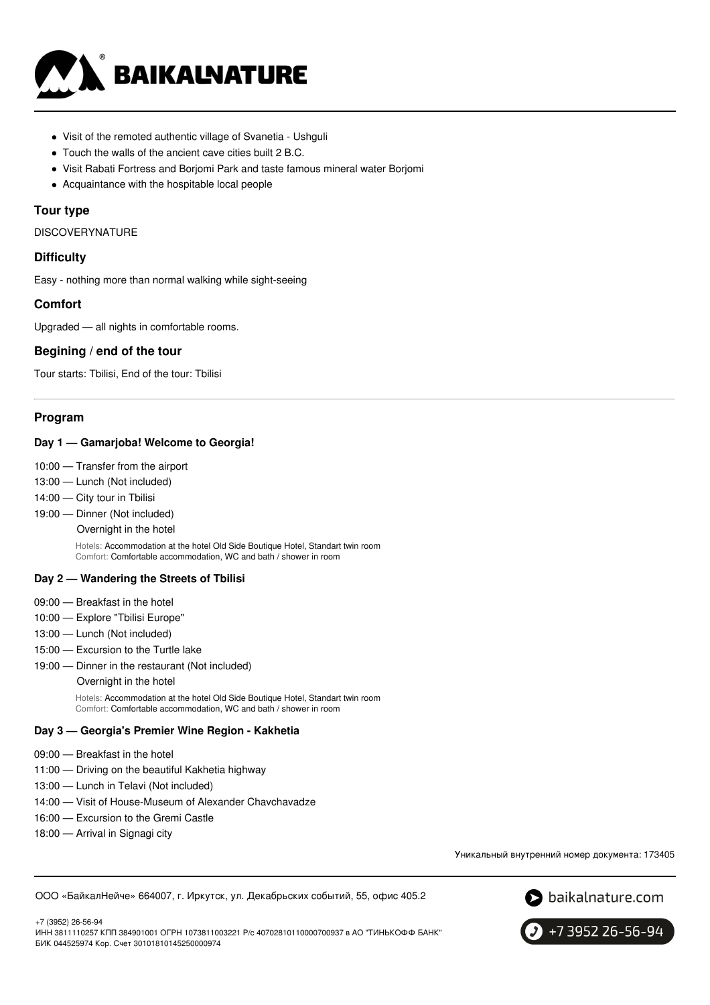

- Visit of the remoted authentic village of Svanetia Ushguli
- Touch the walls of the ancient cave cities built 2 B.C.
- Visit Rabati Fortress and Borjomi Park and taste famous mineral water Borjomi
- Acquaintance with the hospitable local people

### **Tour type**

DISCOVERYNATURE

### **Difficulty**

Easy - nothing more than normal walking while sight-seeing

### **Comfort**

Upgraded — all nights in comfortable rooms.

### **Begining / end of the tour**

Tour starts: Tbilisi, End of the tour: Tbilisi

#### **Program**

#### **Day 1 — Gamarjoba! Welcome to Georgia!**

- 10:00 Transfer from the airport
- 13:00 Lunch (Not included)
- 14:00 City tour in Tbilisi
- 19:00 Dinner (Not included)

Overnight in the hotel

Hotels: Accommodation at the hotel Old Side Boutique Hotel, Standart twin room Comfort: Comfortable accommodation, WC and bath / shower in room

#### **Day 2 — Wandering the Streets of Tbilisi**

- 09:00 Breakfast in the hotel
- 10:00 Explore "Tbilisi Europe"
- 13:00 Lunch (Not included)
- 15:00 Excursion to the Turtle lake
- 19:00 Dinner in the restaurant (Not included)

#### Overnight in the hotel

Hotels: Accommodation at the hotel Old Side Boutique Hotel, Standart twin room Comfort: Comfortable accommodation, WC and bath / shower in room

#### **Day 3 — Georgia's Premier Wine Region - Kakhetia**

- 09:00 Breakfast in the hotel
- 11:00 Driving on the beautiful Kakhetia highway
- 13:00 Lunch in Telavi (Not included)
- 14:00 Visit of House-Museum of Alexander Chavchavadze
- 16:00 Excursion to the Gremi Castle
- 18:00 Arrival in Signagi city

+7 (3952) 26-56-94

Уникальный внутренний номер документа: 173405

ООО «БайкалНейче» 664007, г. Иркутск, ул. Декабрьских событий, 55, офис 405.2





ИНН 3811110257 КПП 384901001 ОГРН 1073811003221 Р/с 40702810110000700937 в АО "ТИНЬКОФФ БАНК" БИК 044525974 Кор. Счет 30101810145250000974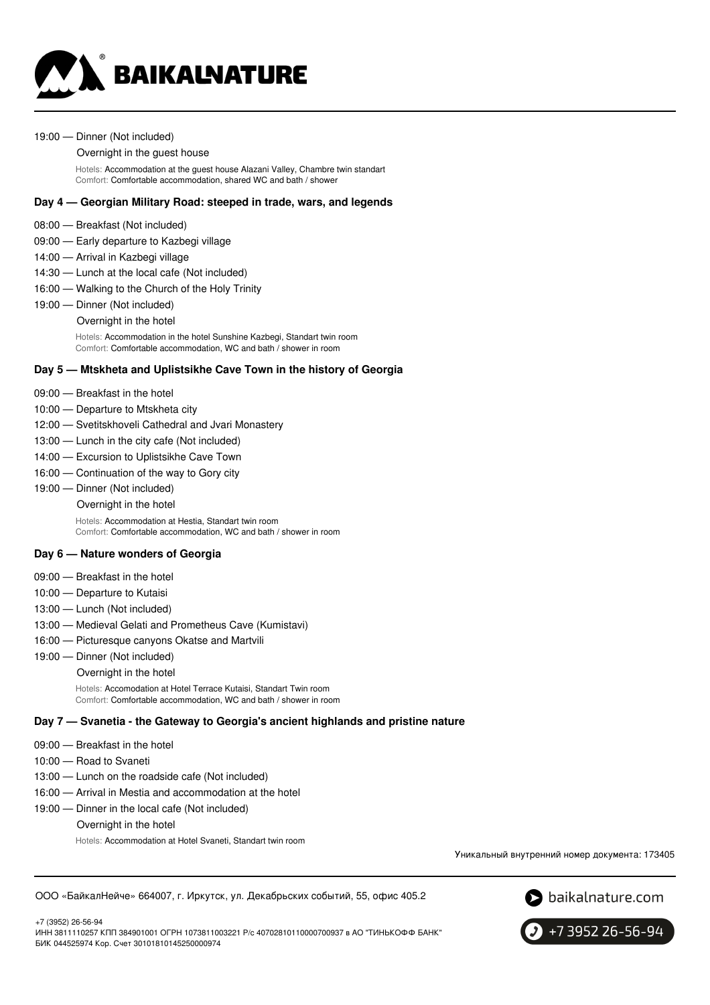

#### 19:00 — Dinner (Not included)

#### Overnight in the guest house

Hotels: Accommodation at the guest house Alazani Valley, Chambre twin standart Comfort: Comfortable accommodation, shared WC and bath / shower

### **Day 4 — Georgian Military Road: steeped in trade, wars, and legends**

- 08:00 Breakfast (Not included)
- 09:00 Early departure to Kazbegi village
- 14:00 Arrival in Kazbegi village
- 14:30 Lunch at the local cafe (Not included)
- 16:00 Walking to the Church of the Holy Trinity
- 19:00 Dinner (Not included) Overnight in the hotel

Hotels: Accommodation in the hotel Sunshine Kazbegi, Standart twin room Comfort: Comfortable accommodation, WC and bath / shower in room

#### **Day 5 — Mtskheta and Uplistsikhe Cave Town in the history of Georgia**

- 09:00 Breakfast in the hotel
- 10:00 Departure to Mtskheta city
- 12:00 Svetitskhoveli Cathedral and Jvari Monastery
- 13:00 Lunch in the city cafe (Not included)
- 14:00 Excursion to Uplistsikhe Cave Town
- 16:00 Continuation of the way to Gory city
- 19:00 Dinner (Not included)
	- Overnight in the hotel

Hotels: Accommodation at Hestia, Standart twin room Comfort: Comfortable accommodation, WC and bath / shower in room

#### **Day 6 — Nature wonders of Georgia**

- 09:00 Breakfast in the hotel
- 10:00 Departure to Kutaisi
- 13:00 Lunch (Not included)
- 13:00 Medieval Gelati and Prometheus Cave (Kumistavi)
- 16:00 Picturesque canyons Okatse and Martvili
- 19:00 Dinner (Not included)
	- Overnight in the hotel

Hotels: Accomodation at Hotel Terrace Kutaisi, Standart Twin room Comfort: Comfortable accommodation, WC and bath / shower in room

#### **Day 7 — Svanetia - the Gateway to Georgia's ancient highlands and pristine nature**

- 09:00 Breakfast in the hotel
- 10:00 Road to Svaneti

+7 (3952) 26-56-94

- 13:00 Lunch on the roadside cafe (Not included)
- 16:00 Arrival in Mestia and accommodation at the hotel
- 19:00 Dinner in the local cafe (Not included)

Overnight in the hotel

Hotels: Accommodation at Hotel Svaneti, Standart twin room

Уникальный внутренний номер документа: 173405

ООО «БайкалНейче» 664007, г. Иркутск, ул. Декабрьских событий, 55, офис 405.2





ИНН 3811110257 КПП 384901001 ОГРН 1073811003221 Р/с 40702810110000700937 в АО "ТИНЬКОФФ БАНК" БИК 044525974 Кор. Счет 30101810145250000974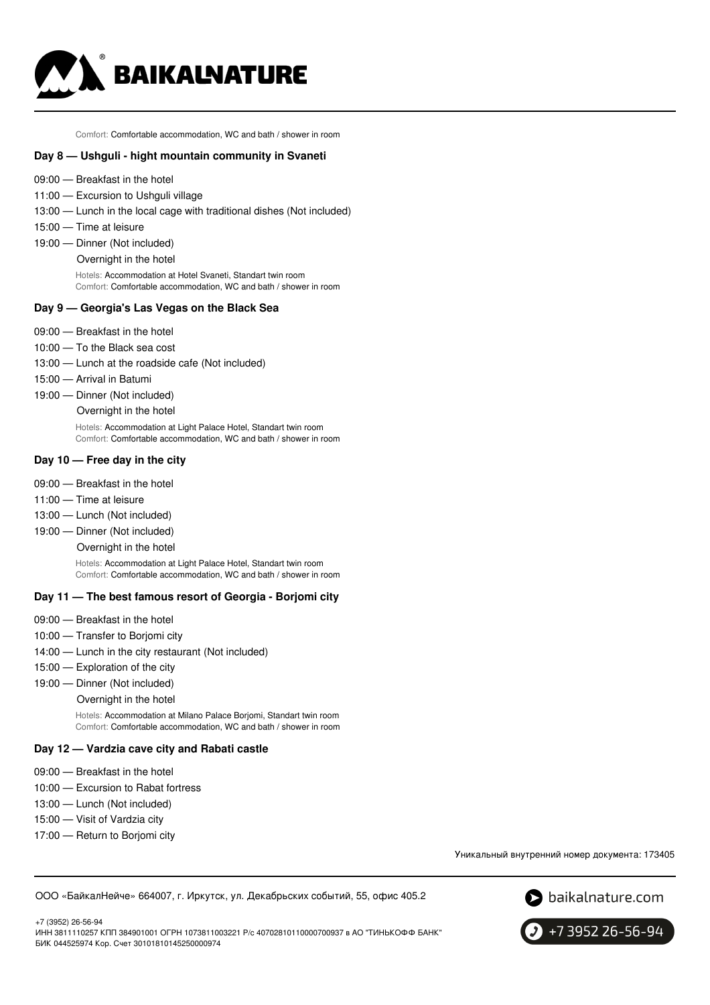

Comfort: Comfortable accommodation, WC and bath / shower in room

#### **Day 8 — Ushguli - hight mountain community in Svaneti**

- 09:00 Breakfast in the hotel
- 11:00 Excursion to Ushguli village
- 13:00 Lunch in the local cage with traditional dishes (Not included)
- 15:00 Time at leisure
- 19:00 Dinner (Not included)
	- Overnight in the hotel

Hotels: Accommodation at Hotel Svaneti, Standart twin room Comfort: Comfortable accommodation, WC and bath / shower in room

#### **Day 9 — Georgia's Las Vegas on the Black Sea**

- 09:00 Breakfast in the hotel
- 10:00 To the Black sea cost
- 13:00 Lunch at the roadside cafe (Not included)
- 15:00 Arrival in Batumi
- 19:00 Dinner (Not included) Overnight in the hotel

Hotels: Accommodation at Light Palace Hotel, Standart twin room Comfort: Comfortable accommodation, WC and bath / shower in room

#### **Day 10 — Free day in the city**

- 09:00 Breakfast in the hotel
- 11:00 Time at leisure
- 13:00 Lunch (Not included)
- 19:00 Dinner (Not included)
	- Overnight in the hotel

Hotels: Accommodation at Light Palace Hotel, Standart twin room Comfort: Comfortable accommodation, WC and bath / shower in room

#### **Day 11 — The best famous resort of Georgia - Borjomi city**

- 09:00 Breakfast in the hotel
- 10:00 Transfer to Borjomi city
- 14:00 Lunch in the city restaurant (Not included)
- 15:00 Exploration of the city
- 19:00 Dinner (Not included)
	- Overnight in the hotel

Hotels: Accommodation at Milano Palace Borjomi, Standart twin room Comfort: Comfortable accommodation, WC and bath / shower in room

### **Day 12 — Vardzia cave city and Rabati castle**

- 09:00 Breakfast in the hotel
- 10:00 Excursion to Rabat fortress
- 13:00 Lunch (Not included)
- 15:00 Visit of Vardzia city
- 17:00 Return to Borjomi city

Уникальный внутренний номер документа: 173405

ООО «БайкалНейче» 664007, г. Иркутск, ул. Декабрьских событий, 55, офис 405.2





+7 3952 26-56-94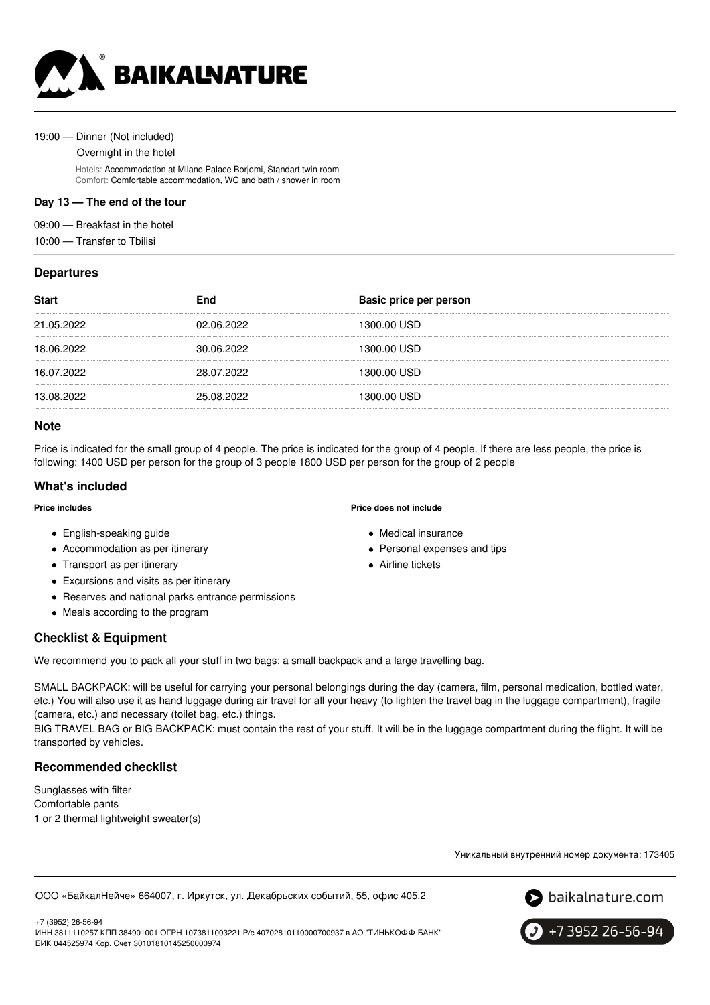

#### 19:00 — Dinner (Not included)

Overnight in the hotel

Hotels: Accommodation at Milano Palace Borjomi, Standart twin room Comfort: Comfortable accommodation, WC and bath / shower in room

### **Day 13 — The end of the tour**

09:00 — Breakfast in the hotel

10:00 — Transfer to Tbilisi

### **Departures**

| <b>Start</b> | End        | Basic price per person |
|--------------|------------|------------------------|
| 21.05.2022   | 02.06.2022 | 1300.00 USD            |
| 18.06.2022   | 30.06.2022 | 1300.00 USD            |
| 16.07.2022   | 28.07.2022 | 1300.00 USD            |
| 13.08.2022   | 25.08.2022 | 1300.00 USD            |
|              |            |                        |

### **Note**

Price is indicated for the small group of 4 people. The price is indicated for the group of 4 people. If there are less people, the price is following: 1400 USD per person for the group of 3 people 1800 USD per person for the group of 2 people

### **What's included**

#### **Price includes**

- English-speaking guide
- Accommodation as per itinerary
- Transport as per itinerary
- Excursions and visits as per itinerary
- Reserves and national parks entrance permissions
- Meals according to the program

# **Checklist & Equipment**

We recommend you to pack all your stuff in two bags: a small backpack and a large travelling bag.

SMALL BACKPACK: will be useful for carrying your personal belongings during the day (camera, film, personal medication, bottled water, etc.) You will also use it as hand luggage during air travel for all your heavy (to lighten the travel bag in the luggage compartment), fragile (camera, etc.) and necessary (toilet bag, etc.) things.

BIG TRAVEL BAG or BIG BACKPACK: must contain the rest of your stuff. It will be in the luggage compartment during the flight. It will be transported by vehicles.

### **Recommended checklist**

Sunglasses with filter Comfortable pants 1 or 2 thermal lightweight sweater(s)

Уникальный внутренний номер документа: 173405

ООО «БайкалНейче» 664007, г. Иркутск, ул. Декабрьских событий, 55, офис 405.2



+7 3952 26-56-94

+7 (3952) 26-56-94 ИНН 3811110257 КПП 384901001 ОГРН 1073811003221 Р/с 40702810110000700937 в АО "ТИНЬКОФФ БАНК" БИК 044525974 Кор. Счет 30101810145250000974

#### **Price does not include**

- Medical insurance
- Personal expenses and tips
- Airline tickets